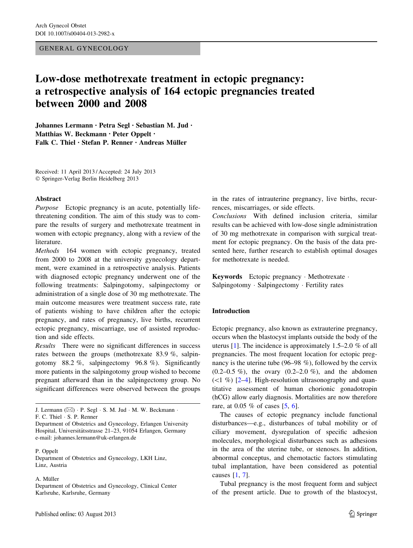### GENERAL GYNECOLOGY

# Low-dose methotrexate treatment in ectopic pregnancy: a retrospective analysis of 164 ectopic pregnancies treated between 2000 and 2008

Johannes Lermann • Petra Segl • Sebastian M. Jud • Matthias W. Beckmann • Peter Oppelt • Falk C. Thiel  $\cdot$  Stefan P. Renner  $\cdot$  Andreas Müller

Received: 11 April 2013 / Accepted: 24 July 2013 - Springer-Verlag Berlin Heidelberg 2013

#### Abstract

Purpose Ectopic pregnancy is an acute, potentially lifethreatening condition. The aim of this study was to compare the results of surgery and methotrexate treatment in women with ectopic pregnancy, along with a review of the literature.

Methods 164 women with ectopic pregnancy, treated from 2000 to 2008 at the university gynecology department, were examined in a retrospective analysis. Patients with diagnosed ectopic pregnancy underwent one of the following treatments: Salpingotomy, salpingectomy or administration of a single dose of 30 mg methotrexate. The main outcome measures were treatment success rate, rate of patients wishing to have children after the ectopic pregnancy, and rates of pregnancy, live births, recurrent ectopic pregnancy, miscarriage, use of assisted reproduction and side effects.

Results There were no significant differences in success rates between the groups (methotrexate 83.9 %, salpingotomy 88.2 %, salpingectomy 96.8 %). Significantly more patients in the salpingotomy group wished to become pregnant afterward than in the salpingectomy group. No significant differences were observed between the groups

J. Lermann ( $\boxtimes$ ) · P. Segl · S. M. Jud · M. W. Beckmann ·

P. Oppelt

Department of Obstetrics and Gynecology, LKH Linz, Linz, Austria

A. Müller

Department of Obstetrics and Gynecology, Clinical Center Karlsruhe, Karlsruhe, Germany

in the rates of intrauterine pregnancy, live births, recurrences, miscarriages, or side effects.

Conclusions With defined inclusion criteria, similar results can be achieved with low-dose single administration of 30 mg methotrexate in comparison with surgical treatment for ectopic pregnancy. On the basis of the data presented here, further research to establish optimal dosages for methotrexate is needed.

Keywords Ectopic pregnancy - Methotrexate - Salpingotomy - Salpingectomy - Fertility rates

# Introduction

Ectopic pregnancy, also known as extrauterine pregnancy, occurs when the blastocyst implants outside the body of the uterus [[1\]](#page-5-0). The incidence is approximately 1.5–2.0 % of all pregnancies. The most frequent location for ectopic pregnancy is the uterine tube (96–98 %), followed by the cervix  $(0.2-0.5\%)$ , the ovary  $(0.2-2.0\%)$ , and the abdomen  $(\leq 1 \%)$  [\[2–4](#page-5-0)]. High-resolution ultrasonography and quantitative assessment of human chorionic gonadotropin (hCG) allow early diagnosis. Mortalities are now therefore rare, at 0.05 % of cases [[5,](#page-5-0) [6\]](#page-5-0).

The causes of ectopic pregnancy include functional disturbances—e.g., disturbances of tubal mobility or of ciliary movement, dysregulation of specific adhesion molecules, morphological disturbances such as adhesions in the area of the uterine tube, or stenoses. In addition, abnormal conceptus, and chemotactic factors stimulating tubal implantation, have been considered as potential causes [[1,](#page-5-0) [7\]](#page-5-0).

Tubal pregnancy is the most frequent form and subject of the present article. Due to growth of the blastocyst,

F. C. Thiel - S. P. Renner

Department of Obstetrics and Gynecology, Erlangen University Hospital, Universitätsstrasse 21-23, 91054 Erlangen, Germany e-mail: johannes.lermann@uk-erlangen.de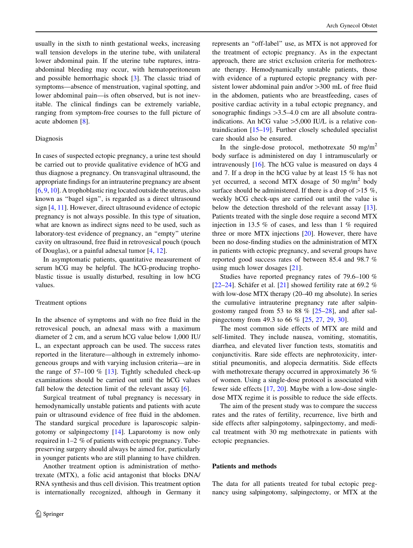usually in the sixth to ninth gestational weeks, increasing wall tension develops in the uterine tube, with unilateral lower abdominal pain. If the uterine tube ruptures, intraabdominal bleeding may occur, with hematoperitoneum and possible hemorrhagic shock [\[3](#page-5-0)]. The classic triad of symptoms—absence of menstruation, vaginal spotting, and lower abdominal pain—is often observed, but is not inevitable. The clinical findings can be extremely variable, ranging from symptom-free courses to the full picture of acute abdomen [[8\]](#page-5-0).

## Diagnosis

In cases of suspected ectopic pregnancy, a urine test should be carried out to provide qualitative evidence of hCG and thus diagnose a pregnancy. On transvaginal ultrasound, the appropriate findings for an intrauterine pregnancy are absent [\[6](#page-5-0), [9](#page-5-0), [10](#page-5-0)]. A trophoblastic ring located outside the uterus, also known as ''bagel sign'', is regarded as a direct ultrasound sign [\[4](#page-5-0), [11\]](#page-5-0). However, direct ultrasound evidence of ectopic pregnancy is not always possible. In this type of situation, what are known as indirect signs need to be used, such as laboratory-test evidence of pregnancy, an ''empty'' uterine cavity on ultrasound, free fluid in retrovesical pouch (pouch of Douglas), or a painful adnexal tumor [\[4](#page-5-0), [12](#page-5-0)].

In asymptomatic patients, quantitative measurement of serum hCG may be helpful. The hCG-producing trophoblastic tissue is usually disturbed, resulting in low hCG values.

#### Treatment options

In the absence of symptoms and with no free fluid in the retrovesical pouch, an adnexal mass with a maximum diameter of 2 cm, and a serum hCG value below 1,000 IU/ L, an expectant approach can be used. The success rates reported in the literature—although in extremely inhomogeneous groups and with varying inclusion criteria—are in the range of  $57-100\%$  [[13\]](#page-5-0). Tightly scheduled check-up examinations should be carried out until the hCG values fall below the detection limit of the relevant assay [[6\]](#page-5-0).

Surgical treatment of tubal pregnancy is necessary in hemodynamically unstable patients and patients with acute pain or ultrasound evidence of free fluid in the abdomen. The standard surgical procedure is laparoscopic salpingotomy or salpingectomy [\[14\]](#page-5-0). Laparotomy is now only required in 1–2 % of patients with ectopic pregnancy. Tubepreserving surgery should always be aimed for, particularly in younger patients who are still planning to have children.

Another treatment option is administration of methotrexate (MTX), a folic acid antagonist that blocks DNA/ RNA synthesis and thus cell division. This treatment option is internationally recognized, although in Germany it represents an ''off-label'' use, as MTX is not approved for the treatment of ectopic pregnancy. As in the expectant approach, there are strict exclusion criteria for methotrexate therapy. Hemodynamically unstable patients, those with evidence of a ruptured ectopic pregnancy with persistent lower abdominal pain and/or > 300 mL of free fluid in the abdomen, patients who are breastfeeding, cases of positive cardiac activity in a tubal ectopic pregnancy, and sonographic findings  $>3.5-4.0$  cm are all absolute contraindications. An hCG value  $>5,000$  IU/L is a relative contraindication [[15–19\]](#page-5-0). Further closely scheduled specialist care should also be ensured.

In the single-dose protocol, methotrexate  $50 \text{ mg/m}^2$ body surface is administered on day 1 intramuscularly or intravenously [\[16](#page-5-0)]. The hCG value is measured on days 4 and 7. If a drop in the hCG value by at least 15 % has not yet occurred, a second MTX dosage of 50 mg/m<sup>2</sup> body surface should be administered. If there is a drop of  $>15 \%$ , weekly hCG check-ups are carried out until the value is below the detection threshold of the relevant assay [\[13](#page-5-0)]. Patients treated with the single dose require a second MTX injection in 13.5 % of cases, and less than 1 % required three or more MTX injections [[20\]](#page-5-0). However, there have been no dose-finding studies on the administration of MTX in patients with ectopic pregnancy, and several groups have reported good success rates of between 85.4 and 98.7 % using much lower dosages [[21\]](#page-5-0).

Studies have reported pregnancy rates of 79.6–100 % [\[22](#page-5-0)[–24](#page-6-0)]. Schäfer et al. [\[21](#page-5-0)] showed fertility rate at 69.2 % with low-dose MTX therapy (20–40 mg absolute). In series the cumulative intrauterine pregnancy rate after salpingostomy ranged from 53 to 88  $\%$  [\[25–28](#page-6-0)], and after salpingectomy from 49.3 to 66 % [[25,](#page-6-0) [27](#page-6-0), [29](#page-6-0), [30](#page-6-0)].

The most common side effects of MTX are mild and self-limited. They include nausea, vomiting, stomatitis, diarrhea, and elevated liver function tests, stomatitis and conjunctivitis. Rare side effects are nephrotoxicity, interstitial pneumonitis, and alopecia dermatitis. Side effects with methotrexate therapy occurred in approximately 36 % of women. Using a single-dose protocol is associated with fewer side effects [\[17](#page-5-0), [20\]](#page-5-0). Maybe with a low-dose singledose MTX regime it is possible to reduce the side effects.

The aim of the present study was to compare the success rates and the rates of fertility, recurrence, live birth and side effects after salpingotomy, salpingectomy, and medical treatment with 30 mg methotrexate in patients with ectopic pregnancies.

#### Patients and methods

The data for all patients treated for tubal ectopic pregnancy using salpingotomy, salpingectomy, or MTX at the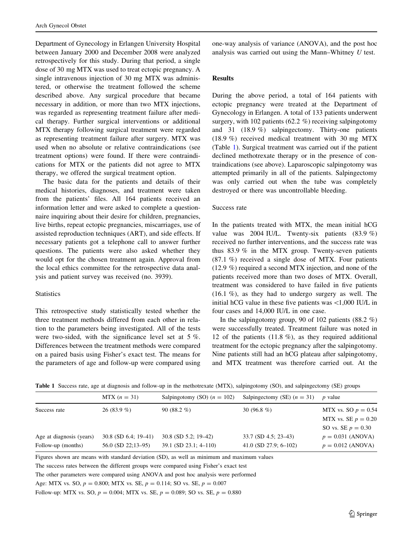<span id="page-2-0"></span>Department of Gynecology in Erlangen University Hospital between January 2000 and December 2008 were analyzed retrospectively for this study. During that period, a single dose of 30 mg MTX was used to treat ectopic pregnancy. A single intravenous injection of 30 mg MTX was administered, or otherwise the treatment followed the scheme described above. Any surgical procedure that became necessary in addition, or more than two MTX injections, was regarded as representing treatment failure after medical therapy. Further surgical interventions or additional MTX therapy following surgical treatment were regarded as representing treatment failure after surgery. MTX was used when no absolute or relative contraindications (see treatment options) were found. If there were contraindications for MTX or the patients did not agree to MTX therapy, we offered the surgical treatment option.

The basic data for the patients and details of their medical histories, diagnoses, and treatment were taken from the patients' files. All 164 patients received an information letter and were asked to complete a questionnaire inquiring about their desire for children, pregnancies, live births, repeat ectopic pregnancies, miscarriages, use of assisted reproduction techniques (ART), and side effects. If necessary patients got a telephone call to answer further questions. The patients were also asked whether they would opt for the chosen treatment again. Approval from the local ethics committee for the retrospective data analysis and patient survey was received (no. 3939).

### **Statistics**

This retrospective study statistically tested whether the three treatment methods differed from each other in relation to the parameters being investigated. All of the tests were two-sided, with the significance level set at 5 %. Differences between the treatment methods were compared on a paired basis using Fisher's exact test. The means for the parameters of age and follow-up were compared using one-way analysis of variance (ANOVA), and the post hoc analysis was carried out using the Mann–Whitney U test.

# Results

During the above period, a total of 164 patients with ectopic pregnancy were treated at the Department of Gynecology in Erlangen. A total of 133 patients underwent surgery, with 102 patients (62.2 %) receiving salpingotomy and 31 (18.9 %) salpingectomy. Thirty-one patients (18.9 %) received medical treatment with 30 mg MTX (Table 1). Surgical treatment was carried out if the patient declined methotrexate therapy or in the presence of contraindications (see above). Laparoscopic salpingotomy was attempted primarily in all of the patients. Salpingectomy was only carried out when the tube was completely destroyed or there was uncontrollable bleeding.

#### Success rate

In the patients treated with MTX, the mean initial hCG value was 2004 IU/L. Twenty-six patients (83.9 %) received no further interventions, and the success rate was thus 83.9 % in the MTX group. Twenty-seven patients (87.1 %) received a single dose of MTX. Four patients (12.9 %) required a second MTX injection, and none of the patients received more than two doses of MTX. Overall, treatment was considered to have failed in five patients (16.1 %), as they had to undergo surgery as well. The initial hCG value in these five patients was  $\langle 1,000 \text{ IU/L} \rangle$  in four cases and 14,000 IU/L in one case.

In the salpingotomy group, 90 of 102 patients  $(88.2 \%)$ were successfully treated. Treatment failure was noted in 12 of the patients (11.8 %), as they required additional treatment for the ectopic pregnancy after the salpingotomy. Nine patients still had an hCG plateau after salpingotomy, and MTX treatment was therefore carried out. At the

|  |  |  |  |  | Table 1 Success rate, age at diagnosis and follow-up in the methotrexate (MTX), salpingotomy (SO), and salpingectomy (SE) groups |  |  |  |  |
|--|--|--|--|--|----------------------------------------------------------------------------------------------------------------------------------|--|--|--|--|
|--|--|--|--|--|----------------------------------------------------------------------------------------------------------------------------------|--|--|--|--|

|                          | $MTX (n = 31)$         | Salpingotomy (SO) $(n = 102)$ | Salpingectomy (SE) $(n = 31)$ | <i>p</i> value        |
|--------------------------|------------------------|-------------------------------|-------------------------------|-----------------------|
| Success rate             | $26(83.9\%)$           | 90 $(88.2\% )$                | 30 $(96.8\% )$                | MTX vs. SO $p = 0.54$ |
|                          |                        |                               |                               | MTX vs. SE $p = 0.20$ |
|                          |                        |                               |                               | SO vs. SE $p = 0.30$  |
| Age at diagnosis (years) | $30.8$ (SD 6.4; 19-41) | $30.8$ (SD 5.2; 19-42)        | 33.7 (SD 4.5; 23–43)          | $p = 0.031$ (ANOVA)   |
| Follow-up (months)       | $56.0$ (SD 22;13-95)   | $39.1$ (SD $23.1$ ; 4-110)    | 41.0 (SD 27.9; $6-102$ )      | $p = 0.012$ (ANOVA)   |

Figures shown are means with standard deviation (SD), as well as minimum and maximum values

The success rates between the different groups were compared using Fisher's exact test

The other parameters were compared using ANOVA and post hoc analysis were performed

Age: MTX vs. SO,  $p = 0.800$ ; MTX vs. SE,  $p = 0.114$ ; SO vs. SE,  $p = 0.007$ 

Follow-up: MTX vs. SO,  $p = 0.004$ ; MTX vs. SE,  $p = 0.089$ ; SO vs. SE,  $p = 0.880$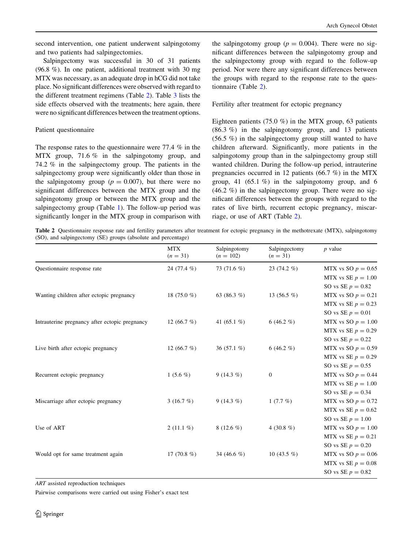second intervention, one patient underwent salpingotomy and two patients had salpingectomies.

Salpingectomy was successful in 30 of 31 patients (96.8 %). In one patient, additional treatment with 30 mg MTX was necessary, as an adequate drop in hCG did not take place. No significant differences were observed with regard to the different treatment regimens (Table 2). Table [3](#page-4-0) lists the side effects observed with the treatments; here again, there were no significant differences between the treatment options.

# Patient questionnaire

The response rates to the questionnaire were 77.4 % in the MTX group, 71.6 % in the salpingotomy group, and 74.2 % in the salpingectomy group. The patients in the salpingectomy group were significantly older than those in the salpingotomy group ( $p = 0.007$ ), but there were no significant differences between the MTX group and the salpingotomy group or between the MTX group and the salpingectomy group (Table [1\)](#page-2-0). The follow-up period was significantly longer in the MTX group in comparison with

the salpingotomy group ( $p = 0.004$ ). There were no significant differences between the salpingotomy group and the salpingectomy group with regard to the follow-up period. Nor were there any significant differences between the groups with regard to the response rate to the questionnaire (Table 2).

Fertility after treatment for ectopic pregnancy

Eighteen patients (75.0 %) in the MTX group, 63 patients (86.3 %) in the salpingotomy group, and 13 patients (56.5 %) in the salpingectomy group still wanted to have children afterward. Significantly, more patients in the salpingotomy group than in the salpingectomy group still wanted children. During the follow-up period, intrauterine pregnancies occurred in 12 patients (66.7 %) in the MTX group, 41 (65.1 %) in the salpingotomy group, and 6 (46.2 %) in the salpingectomy group. There were no significant differences between the groups with regard to the rates of live birth, recurrent ectopic pregnancy, miscarriage, or use of ART (Table 2).

Table 2 Questionnaire response rate and fertility parameters after treatment for ectopic pregnancy in the methotrexate (MTX), salpingotomy (SO), and salpingectomy (SE) groups (absolute and percentage)

|                                                | <b>MTX</b><br>$(n = 31)$ | Salpingotomy<br>$(n = 102)$ | Salpingectomy<br>$(n = 31)$ | $p$ value            |
|------------------------------------------------|--------------------------|-----------------------------|-----------------------------|----------------------|
| Questionnaire response rate                    | 24 (77.4 %)              | 73 $(71.6\%)$               | 23 $(74.2\%)$               | MTX vs SO $p = 0.65$ |
|                                                |                          |                             |                             | MTX vs SE $p = 1.00$ |
|                                                |                          |                             |                             | SO vs SE $p = 0.82$  |
| Wanting children after ectopic pregnancy       | 18 $(75.0%$              | 63 $(86.3\%)$               | 13 $(56.5\%)$               | MTX vs SO $p = 0.21$ |
|                                                |                          |                             |                             | MTX vs SE $p = 0.23$ |
|                                                |                          |                             |                             | SO vs SE $p = 0.01$  |
| Intrauterine pregnancy after ectopic pregnancy | 12 $(66.7 \%)$           | 41 $(65.1\%)$               | 6 (46.2 %)                  | MTX vs SO $p = 1.00$ |
|                                                |                          |                             |                             | MTX vs SE $p = 0.29$ |
|                                                |                          |                             |                             | SO vs SE $p = 0.22$  |
| Live birth after ectopic pregnancy             | 12 $(66.7 \%)$           | 36 $(57.1\%)$               | 6 (46.2 %)                  | MTX vs SO $p = 0.59$ |
|                                                |                          |                             |                             | MTX vs SE $p = 0.29$ |
|                                                |                          |                             |                             | SO vs SE $p = 0.55$  |
| Recurrent ectopic pregnancy                    | 1 $(5.6\%)$              | $9(14.3\%)$                 | $\boldsymbol{0}$            | MTX vs SO $p = 0.44$ |
|                                                |                          |                             |                             | MTX vs SE $p = 1.00$ |
|                                                |                          |                             |                             | SO vs SE $p = 0.34$  |
| Miscarriage after ectopic pregnancy            | 3 $(16.7\%)$             | $9(14.3\%)$                 | $1(7.7\%)$                  | MTX vs SO $p = 0.72$ |
|                                                |                          |                             |                             | MTX vs SE $p = 0.62$ |
|                                                |                          |                             |                             | SO vs SE $p = 1.00$  |
| Use of ART                                     | $2(11.1\%)$              | 8 (12.6 $%$ )               | 4 (30.8 $%$ )               | MTX vs SO $p = 1.00$ |
|                                                |                          |                             |                             | MTX vs SE $p = 0.21$ |
|                                                |                          |                             |                             | SO vs SE $p = 0.20$  |
| Would opt for same treatment again             | 17 $(70.8\%)$            | 34 (46.6 %)                 | 10 (43.5 $%$ )              | MTX vs SO $p = 0.06$ |
|                                                |                          |                             |                             | MTX vs SE $p = 0.08$ |
|                                                |                          |                             |                             | SO vs SE $p = 0.82$  |

ART assisted reproduction techniques

Pairwise comparisons were carried out using Fisher's exact test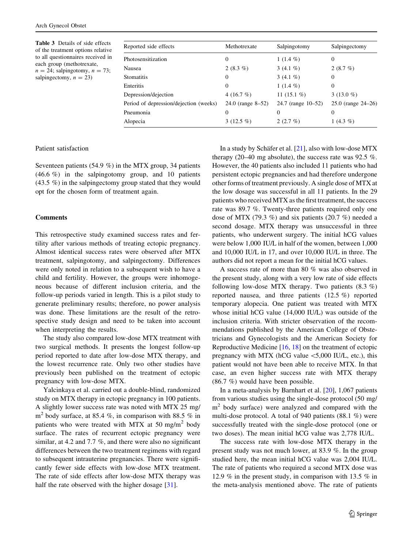<span id="page-4-0"></span>Table 3 Details of side effects of the treatment options relative to all questionnaires received in each group (methotrexate,  $n = 24$ ; salpingotomy,  $n = 73$ ; salpingectomy,  $n = 23$ )

| Reported side effects                  | Methotrexate      | Salpingotomy       | Salpingectomy      |  |
|----------------------------------------|-------------------|--------------------|--------------------|--|
| Photosensitization                     | $\mathbf{0}$      | 1 $(1.4\%)$        | $\Omega$           |  |
| Nausea                                 | 2 $(8.3\%)$       | 3 $(4.1\%)$        | 2(8.7%)            |  |
| <b>Stomatitis</b>                      | $\mathbf{0}$      | 3 $(4.1\%)$        | 0                  |  |
| Enteritis                              | $\mathbf{0}$      | 1 $(1.4\%)$        | $\Omega$           |  |
| Depression/dejection                   | 4 $(16.7 \%)$     | 11 $(15.1\%)$      | 3 $(13.0\%)$       |  |
| Period of depression/dejection (weeks) | 24.0 (range 8–52) | 24.7 (range 10–52) | 25.0 (range 24–26) |  |
| Pneumonia                              | 0                 | $\Omega$           | $\Omega$           |  |
| Alopecia                               | 3 $(12.5\%)$      | $2(2.7\%)$         | 1 $(4.3\%)$        |  |

# Patient satisfaction

Seventeen patients (54.9 %) in the MTX group, 34 patients (46.6 %) in the salpingotomy group, and 10 patients (43.5 %) in the salpingectomy group stated that they would opt for the chosen form of treatment again.

### Comments

This retrospective study examined success rates and fertility after various methods of treating ectopic pregnancy. Almost identical success rates were observed after MTX treatment, salpingotomy, and salpingectomy. Differences were only noted in relation to a subsequent wish to have a child and fertility. However, the groups were inhomogeneous because of different inclusion criteria, and the follow-up periods varied in length. This is a pilot study to generate preliminary results; therefore, no power analysis was done. These limitations are the result of the retrospective study design and need to be taken into account when interpreting the results.

The study also compared low-dose MTX treatment with two surgical methods. It presents the longest follow-up period reported to date after low-dose MTX therapy, and the lowest recurrence rate. Only two other studies have previously been published on the treatment of ectopic pregnancy with low-dose MTX.

Yalcinkaya et al. carried out a double-blind, randomized study on MTX therapy in ectopic pregnancy in 100 patients. A slightly lower success rate was noted with MTX 25 mg/  $m<sup>2</sup>$  body surface, at 85.4 %, in comparison with 88.5 % in patients who were treated with MTX at 50 mg/m<sup>2</sup> body surface. The rates of recurrent ectopic pregnancy were similar, at 4.2 and 7.7 %, and there were also no significant differences between the two treatment regimens with regard to subsequent intrauterine pregnancies. There were significantly fewer side effects with low-dose MTX treatment. The rate of side effects after low-dose MTX therapy was half the rate observed with the higher dosage [[31\]](#page-6-0).

In a study by Schäfer et al.  $[21]$  $[21]$ , also with low-dose MTX therapy (20–40 mg absolute), the success rate was 92.5  $\%$ . However, the 40 patients also included 11 patients who had persistent ectopic pregnancies and had therefore undergone other forms of treatment previously. A single dose of MTX at the low dosage was successful in all 11 patients. In the 29 patients who received MTX as the first treatment, the success rate was 89.7 %. Twenty-three patients required only one dose of MTX (79.3 %) and six patients (20.7 %) needed a second dosage. MTX therapy was unsuccessful in three patients, who underwent surgery. The initial hCG values were below 1,000 IU/L in half of the women, between 1,000 and 10,000 IU/L in 17, and over 10,000 IU/L in three. The authors did not report a mean for the initial hCG values.

A success rate of more than 80 % was also observed in the present study, along with a very low rate of side effects following low-dose MTX therapy. Two patients  $(8.3 \%)$ reported nausea, and three patients (12.5 %) reported temporary alopecia. One patient was treated with MTX whose initial hCG value (14,000 IU/L) was outside of the inclusion criteria. With stricter observation of the recommendations published by the American College of Obstetricians and Gynecologists and the American Society for Reproductive Medicine [\[16](#page-5-0), [18](#page-5-0)] on the treatment of ectopic pregnancy with MTX (hCG value  $\lt$ 5,000 IU/L, etc.), this patient would not have been able to receive MTX. In that case, an even higher success rate with MTX therapy (86.7 %) would have been possible.

In a meta-analysis by Barnhart et al. [\[20](#page-5-0)], 1,067 patients from various studies using the single-dose protocol (50 mg/  $m<sup>2</sup>$  body surface) were analyzed and compared with the multi-dose protocol. A total of 940 patients (88.1 %) were successfully treated with the single-dose protocol (one or two doses). The mean initial hCG value was 2,778 IU/L.

The success rate with low-dose MTX therapy in the present study was not much lower, at 83.9 %. In the group studied here, the mean initial hCG value was 2,004 IU/L. The rate of patients who required a second MTX dose was 12.9 % in the present study, in comparison with 13.5 % in the meta-analysis mentioned above. The rate of patients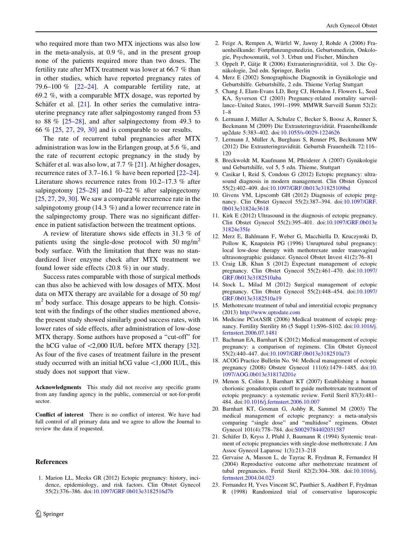<span id="page-5-0"></span>who required more than two MTX injections was also low in the meta-analysis, at 0.9 %, and in the present group none of the patients required more than two doses. The fertility rate after MTX treatment was lower at 66.7 % than in other studies, which have reported pregnancy rates of 79.6–100 %  $[22-24]$ . A comparable fertility rate, at 69.2 %, with a comparable MTX dosage, was reported by Schäfer et al.  $[21]$ . In other series the cumulative intrauterine pregnancy rate after salpingostomy ranged from 53 to 88 %  $[25-28]$ , and after salping ectomy from 49.3 to 66 % [\[25](#page-6-0), [27](#page-6-0), [29,](#page-6-0) [30\]](#page-6-0) and is comparable to our results.

The rate of recurrent tubal pregnancies after MTX administration was low in the Erlangen group, at 5.6 %, and the rate of recurrent ectopic pregnancy in the study by Schäfer et al. was also low, at 7.7 %  $[21]$ . At higher dosages, recurrence rates of 3.7–16.1 % have been reported [22[–24](#page-6-0)]. Literature shows recurrence rates from 10.2–17.3 % after salpingotomy  $[25-28]$  and  $10-22$  % after salpingectomy [\[25](#page-6-0), [27,](#page-6-0) [29,](#page-6-0) [30](#page-6-0)]. We saw a comparable recurrence rate in the salpingotomy group (14.3 %) and a lower recurrence rate in the salpingectomy group. There was no significant difference in patient satisfaction between the treatment options.

A review of literature shows side effects in 31.3 % of patients using the single-dose protocol with 50 mg/m<sup>2</sup> body surface. With the limitation that there was no standardized liver enzyme check after MTX treatment we found lower side effects (20.8 %) in our study.

Success rates comparable with those of surgical methods can thus also be achieved with low dosages of MTX. Most data on MTX therapy are available for a dosage of 50 mg/  $m<sup>2</sup>$  body surface. This dosage appears to be high. Consistent with the findings of the other studies mentioned above, the present study showed similarly good success rates, with lower rates of side effects, after administration of low-dose MTX therapy. Some authors have proposed a ''cut-off'' for the hCG value of  $\langle 2,000 \text{ IU/L}$  before MTX therapy [\[32](#page-6-0)]. As four of the five cases of treatment failure in the present study occurred with an initial hCG value  $\lt 1,000$  IU/L, this study does not support that view.

Acknowledgments This study did not receive any specific grants from any funding agency in the public, commercial or not-for-profit sector.

Conflict of interest There is no conflict of interest. We have had full control of all primary data and we agree to allow the Journal to review the data if requested.

#### References

1. Marion LL, Meeks GR (2012) Ectopic pregnancy: history, incidence, epidemiology, and risk factors. Clin Obstet Gynecol 55(2):376–386. doi[:10.1097/GRF.0b013e3182516d7b](http://dx.doi.org/10.1097/GRF.0b013e3182516d7b)

- 2. Feige A, Rempen A, Würfel W, Jawny J, Rohde A (2006) Frauenheilkunde: Fortpflanzungsmedizin, Geburtsmedizin, Onkologie, Psychosomatik, vol 3. Urban und Fischer, München
- 3. Oppelt P, Gätje R (2006) Extrauteringravidität, vol 3. Die Gynäkologie, 2nd edn. Springer, Berlin
- 4. Merz E (2002) Sonographische Diagnostik in Gynäkologie und Geburtshilfe. Geburtshilfe, 2 edn. Thieme Verlag Stuttgart
- 5. Chang J, Elam-Evans LD, Berg CJ, Herndon J, Flowers L, Seed KA, Syverson CJ (2003) Pregnancy-related mortality surveillance–United States, 1991–1999. MMWR Surveill Summ 52(2): 1–8
- 6. Lermann J, Müller A, Schulze C, Becker S, Boosz A, Renner S, Beckmann M (2009) Die Extrauteringravidität. Frauenheilkunde up2date 5:383–402. doi:[10.1055/s-0029-1224626](http://dx.doi.org/10.1055/s-0029-1224626)
- 7. Lermann J, Müller A, Burghaus S, Renner PS, Beckmann MW (2012) Die Extrauteringravidität. Geburtsh Frauenheilk 72:116– 120
- 8. Breckwoldt M, Kaufmann M, Pfleiderer A (2007) Gynäkologie und Geburtshilfe, vol 5, 5 edn. Thieme, Stuttgart
- 9. Casikar I, Reid S, Condous G (2012) Ectopic pregnancy: ultrasound diagnosis in modern management. Clin Obstet Gynecol 55(2):402–409. doi[:10.1097/GRF.0b013e31825109bd](http://dx.doi.org/10.1097/GRF.0b013e31825109bd)
- 10. Givens VM, Lipscomb GH (2012) Diagnosis of ectopic pregnancy. Clin Obstet Gynecol 55(2):387–394. doi:[10.1097/GRF.](http://dx.doi.org/10.1097/GRF.0b013e31824e3618) [0b013e31824e3618](http://dx.doi.org/10.1097/GRF.0b013e31824e3618)
- 11. Kirk E (2012) Ultrasound in the diagnosis of ectopic pregnancy. Clin Obstet Gynecol 55(2):395–401. doi:[10.1097/GRF.0b013e](http://dx.doi.org/10.1097/GRF.0b013e31824e35fe) [31824e35fe](http://dx.doi.org/10.1097/GRF.0b013e31824e35fe)
- 12. Merz E, Bahlmann F, Weber G, Macchiella D, Kruczynski D, Pollow K, Knapstein PG (1996) Unruptured tubal pregnancy: local low-dose therapy with methotrexate under transvaginal ultrasonographic guidance. Gynecol Obstet Invest 41(2):76–81
- 13. Craig LB, Khan S (2012) Expectant management of ectopic pregnancy. Clin Obstet Gynecol 55(2):461–470. doi[:10.1097/](http://dx.doi.org/10.1097/GRF.0b013e3182510aba) [GRF.0b013e3182510aba](http://dx.doi.org/10.1097/GRF.0b013e3182510aba)
- 14. Stock L, Milad M (2012) Surgical management of ectopic pregnancy. Clin Obstet Gynecol 55(2):448–454. doi[:10.1097/](http://dx.doi.org/10.1097/GRF.0b013e3182510a19) [GRF.0b013e3182510a19](http://dx.doi.org/10.1097/GRF.0b013e3182510a19)
- 15. Methotrexate treatment of tubal and interstitial ectopic pregnancy (2013) <http://www.uptodate.com>
- 16. Medicine PCotASfR (2006) Medical treatment of ectopic pregnancy. Fertility Sterility 86 (5 Suppl 1):S96–S102. doi:[10.1016/j.](http://dx.doi.org/10.1016/j.fertnstert.2006.07.1481) [fertnstert.2006.07.1481](http://dx.doi.org/10.1016/j.fertnstert.2006.07.1481)
- 17. Bachman EA, Barnhart K (2012) Medical management of ectopic pregnancy: a comparison of regimens. Clin Obstet Gynecol 55(2):440–447. doi[:10.1097/GRF.0b013e3182510a73](http://dx.doi.org/10.1097/GRF.0b013e3182510a73)
- 18. ACOG Practice Bulletin No. 94: Medical management of ectopic pregnancy (2008) Obstetr Gynecol 111(6):1479–1485. doi:[10.](http://dx.doi.org/10.1097/AOG.0b013e31817d201e) [1097/AOG.0b013e31817d201e](http://dx.doi.org/10.1097/AOG.0b013e31817d201e)
- 19. Menon S, Colins J, Barnhart KT (2007) Establishing a human chorionic gonadotropin cutoff to guide methotrexate treatment of ectopic pregnancy: a systematic review. Fertil Steril 87(3):481– 484. doi:[10.1016/j.fertnstert.2006.10.007](http://dx.doi.org/10.1016/j.fertnstert.2006.10.007)
- 20. Barnhart KT, Gosman G, Ashby R, Sammel M (2003) The medical management of ectopic pregnancy: a meta-analysis comparing ''single dose'' and ''multidose'' regimens. Obstet Gynecol 101(4):778–784. doi[:S0029784402031587](http://dx.doi.org/S0029784402031587)
- 21. Schäfer D, Kryss J, Pfuhl J, Baumann R (1994) Systemic treatment of ectopic pregnancies with single-dose methotrexate. J Am Assoc Gynecol Laparosc 1(3):213–218
- 22. Gervaise A, Masson L, de Tayrac R, Frydman R, Fernandez H (2004) Reproductive outcome after methotrexate treatment of tubal pregnancies. Fertil Steril 82(2):304–308. doi:[10.1016/j.](http://dx.doi.org/10.1016/j.fertnstert.2004.04.023) [fertnstert.2004.04.023](http://dx.doi.org/10.1016/j.fertnstert.2004.04.023)
- 23. Fernandez H, Yves Vincent SC, Pauthier S, Audibert F, Frydman R (1998) Randomized trial of conservative laparoscopic